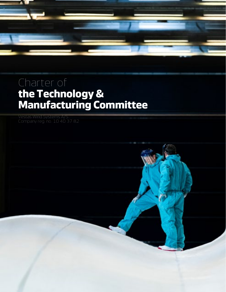

# Charter of **the Technology & Manufacturing Committee**

Vestas Wind Systems A/S

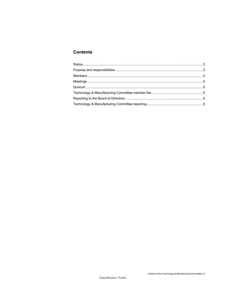# **Contents**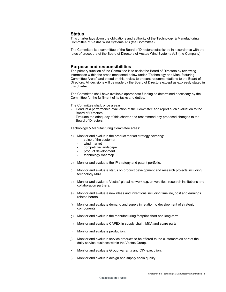## <span id="page-2-0"></span>**Status**

This charter lays down the obligations and authority of the Technology & Manufacturing Committee of Vestas Wind Systems A/S (the Committee).

The Committee is a committee of the Board of Directors established in accordance with the rules of procedure of the Board of Directors of Vestas Wind Systems A/S (the Company).

## <span id="page-2-1"></span>**Purpose and responsibilities**

The primary function of the Committee is to assist the Board of Directors by reviewing information within the areas mentioned below under "Technology and Manufacturing Committee Areas" and based on this review to present recommendations to the Board of Directors. All decisions will be made by the Board of Directors except as expressly stated in this charter.

The Committee shall have available appropriate funding as determined necessary by the Committee for the fulfilment of its tasks and duties.

The Committee shall, once a year:

- Conduct a performance evaluation of the Committee and report such evaluation to the Board of Directors.
- Evaluate the adequacy of this charter and recommend any proposed changes to the Board of Directors.

#### Technology & Manufacturing Committee areas:

- a) Monitor and evaluate the product market strategy covering:
	- voice of the customer
	- wind market
	- competitive landscape
	- product development
	- technology roadmap.
- b) Monitor and evaluate the IP strategy and patent portfolio.
- c) Monitor and evaluate status on product development and research projects including technology M&A.
- d) Monitor and evaluate Vestas' global network e.g. universities, research institutions and collaboration partners.
- e) Monitor and evaluate new ideas and inventions including timeline, cost and earnings related hereto.
- f) Monitor and evaluate demand and supply in relation to development of strategic components.
- g) Monitor and evaluate the manufacturing footprint short and long-term.
- h) Monitor and evaluate CAPEX in supply chain, M&A and spare parts.
- i) Monitor and evaluate production.
- j) Monitor and evaluate service products to be offered to the customers as part of the daily service business within the Vestas Group.
- k) Monitor and evaluate Group warranty and CIM execution.
- l) Monitor and evaluate design and supply chain quality.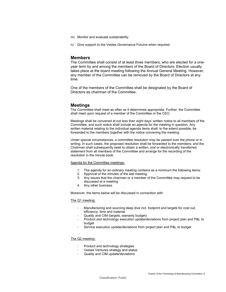- m) Monitor and evaluate sustainability.
- n) Give support to the Vestas Governance Forums when required.

## <span id="page-3-0"></span>**Members**

The Committee shall consist of at least three members, who are elected for a oneyear term by and among the members of the Board of Directors. Election usually takes place at the board meeting following the Annual General Meeting. However, any member of the Committee can be removed by the Board of Directors at any time.

One of the members of the Committee shall be designated by the Board of Directors as chairman of the Committee.

## <span id="page-3-1"></span>**Meetings**

The Committee shall meet as often as it determines appropriate. Further, the Committee shall meet upon request of a member of the Committee or the CEO.

Meetings shall be convened at not less than eight days' written notice to all members of the Committee, and such notice shall include an agenda for the meeting in question. Any written material relating to the individual agenda items shall, to the extent possible, be forwarded to the members together with the notice convening the meeting.

Under special circumstances, a committee resolution may be passed over the phone or in writing. In such cases, the proposed resolution shall be forwarded to the members; and the Chairman shall subsequently seek to obtain a written, oral or electronically transferred statement from all members of the Committee and arrange for the recording of the resolution in the minute book.

#### Agenda for the Committee meetings:

- 1. The agenda for an ordinary meeting contains as a minimum the following items:
- 2. Approval of the minutes of the last meeting.
- 3. Any issues that the chairman or a member of the Committee may request to be discussed at a meeting.
- 4. Any other business.

Moreover, the items below will be discussed in connection with:

#### The Q1 meeting:

- Manufacturing and sourcing deep dive incl. footprint and targets for cost out, efficiency, time and material
- Quality and CIM (targets, warranty budget)
- Product and technology execution update/deviations from project plan and P&L to budget
- Service execution update/deviations from project plan and P&L to budget

#### The Q2 meeting:

- Product and technology strategies
- Vestas Ventures strategy and status
- Quality and CIM update/deviations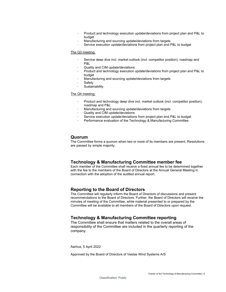- Product and technology execution update/deviations from project plan and P&L to budget
- Manufacturing and sourcing update/deviations from targets
- Service execution update/deviations from project plan and P&L to budget

#### The Q3 meeting:

- Service deep dive incl. market outlook (incl. competitor position), roadmap and P&L
- Quality and CIM update/deviations
- Product and technology execution update/deviations from project plan and P&L to budget
- Manufacturing and sourcing update/deviations from targets
- Safety
- Sustainability

#### The Q4 meeting:

- Product and technology deep dive incl. market outlook (incl. competitor position), roadmap and P&L
- Manufacturing and sourcing update/deviations from targets
- Quality and CIM update/deviations
- Service execution update/deviations from project plan and P&L to budget
- Performance evaluation of the Technology & Manufacturing Committee.

## <span id="page-4-0"></span>**Quorum**

The Committee forms a quorum when two or more of its members are present. Resolutions are passed by simple majority.

# <span id="page-4-1"></span>**Technology & Manufacturing Committee member fee**

Each member of the Committee shall receive a fixed annual fee to be determined together with the fee to the members of the Board of Directors at the Annual General Meeting in connection with the adoption of the audited annual report.

## <span id="page-4-2"></span>**Reporting to the Board of Directors**

The Committee will regularly inform the Board of Directors of discussions and present recommendations to the Board of Directors. Further, the Board of Directors will receive the minutes of meeting of the Committee, while material presented to or prepared by the Committee will be available to all members of the Board of Directors upon request.

# <span id="page-4-3"></span>**Technology & Manufacturing Committee reporting**

The Committee shall ensure that matters related to the overall areas of responsibility of the Committee are included in the quarterly reporting of the company.

Aarhus, 5 April 2022

Approved by the Board of Directors of Vestas Wind Systems A/S